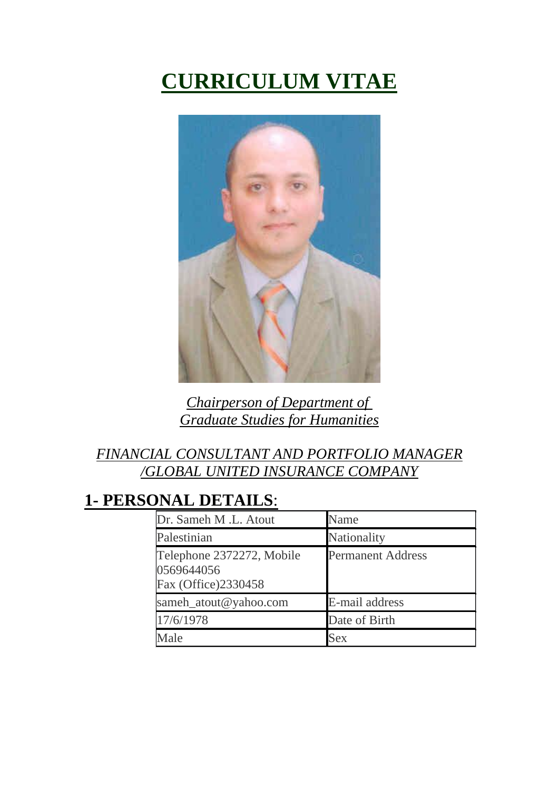# **CURRICULUM VITAE**



*Chairperson of Department of Graduate Studies for Humanities*

#### *FINANCIAL CONSULTANT AND PORTFOLIO MANAGER /GLOBAL UNITED INSURANCE COMPANY*

### **1- PERSONAL DETAILS**:

| Dr. Sameh M.L. Atout                                           | Name                     |
|----------------------------------------------------------------|--------------------------|
| Palestinian                                                    | Nationality              |
| Telephone 2372272, Mobile<br>0569644056<br>Fax (Office)2330458 | <b>Permanent Address</b> |
| sameh_atout@yahoo.com                                          | E-mail address           |
| 17/6/1978                                                      | Date of Birth            |
| Iale                                                           | <b>Sex</b>               |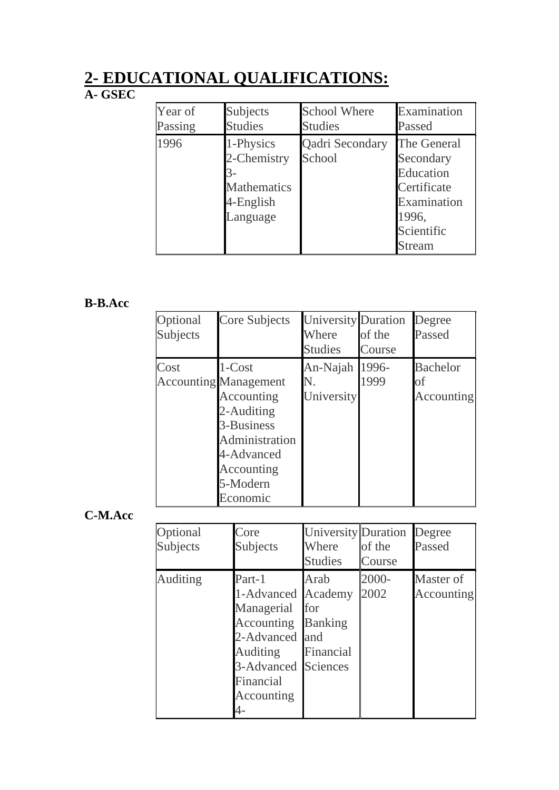### **2- EDUCATIONAL QUALIFICATIONS:**

#### **A- GSEC**

| Year of | Subjects                                                                | <b>School Where</b>       | Examination                                                                                          |
|---------|-------------------------------------------------------------------------|---------------------------|------------------------------------------------------------------------------------------------------|
| Passing | <b>Studies</b>                                                          | <b>Studies</b>            | Passed                                                                                               |
| 1996    | 1-Physics<br>2-Chemistry<br><b>Mathematics</b><br>4-English<br>Language | Qadri Secondary<br>School | The General<br>Secondary<br>Education<br>Certificate<br>Examination<br>1996,<br>Scientific<br>Stream |

#### **B-B.Acc**

| Optional<br>Subjects | Core Subjects                                                                                                                                          | <b>University Duration</b><br>Where<br><b>Studies</b> | of the<br>Course | Degree<br>Passed                           |
|----------------------|--------------------------------------------------------------------------------------------------------------------------------------------------------|-------------------------------------------------------|------------------|--------------------------------------------|
| Cost                 | 1-Cost<br><b>Accounting Management</b><br>Accounting<br>2-Auditing<br>3-Business<br>Administration<br>4-Advanced<br>Accounting<br>5-Modern<br>Economic | An-Najah<br>N.<br>University                          | 1996-<br>1999    | <b>Bachelor</b><br>οf<br><b>Accounting</b> |

**C-M.Acc**

| Optional<br>Subjects | Core<br>Subjects                                                                                                                                               | <b>University Duration</b><br>Where<br><b>Studies</b> | of the<br>Course | Degree<br>Passed        |
|----------------------|----------------------------------------------------------------------------------------------------------------------------------------------------------------|-------------------------------------------------------|------------------|-------------------------|
| <b>Auditing</b>      | Part-1<br>1-Advanced Academy<br>Managerial<br><b>Accounting Banking</b><br>2-Advanced and<br><b>Auditing</b><br>3-Advanced Sciences<br>Financial<br>Accounting | Arab<br>for<br>Financial                              | 2000-<br>2002    | Master of<br>Accounting |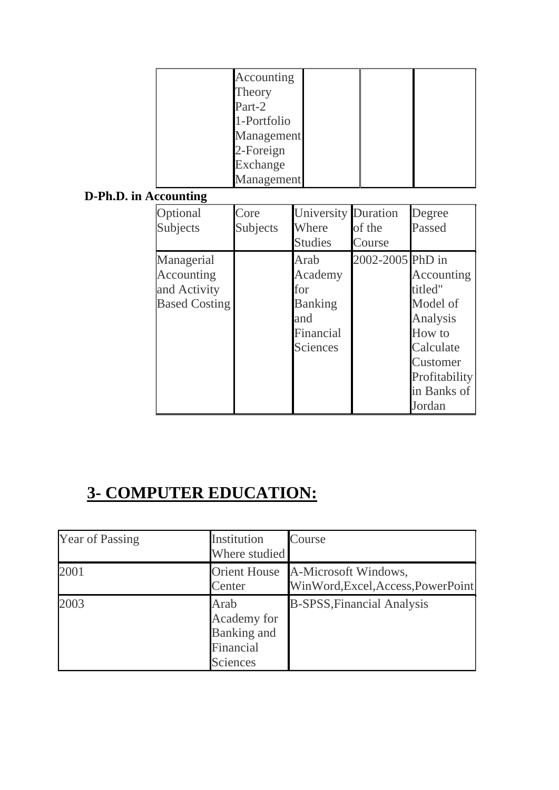| Accounting  |  |  |
|-------------|--|--|
| Theory      |  |  |
| Part-2      |  |  |
| 1-Portfolio |  |  |
| Management  |  |  |
| 2-Foreign   |  |  |
| Exchange    |  |  |
| Management  |  |  |

#### **D-Ph.D. in Accounting**

| Optional<br>Subjects                                             | Core<br>Subjects | <b>University Duration</b><br>Where<br><b>Studies</b>                           | of the<br>Course | Degree<br>Passed                                                                                                           |
|------------------------------------------------------------------|------------------|---------------------------------------------------------------------------------|------------------|----------------------------------------------------------------------------------------------------------------------------|
| Managerial<br>Accounting<br>and Activity<br><b>Based Costing</b> |                  | Arab<br>Academy<br>for<br><b>Banking</b><br>and<br>Financial<br><b>Sciences</b> | 2002-2005 PhD in | Accounting<br>titled"<br>Model of<br>Analysis<br>How to<br>Calculate<br>Customer<br>Profitability<br>in Banks of<br>Jordan |

# **3- COMPUTER EDUCATION:**

| <b>Year of Passing</b> | Institution<br>Where studied                                       | Course                                                                  |
|------------------------|--------------------------------------------------------------------|-------------------------------------------------------------------------|
| 2001                   | Center                                                             | Orient House A-Microsoft Windows,<br>WinWord, Excel, Access, PowerPoint |
| 2003                   | Arab<br>Academy for<br>Banking and<br>Financial<br><b>Sciences</b> | <b>B-SPSS, Financial Analysis</b>                                       |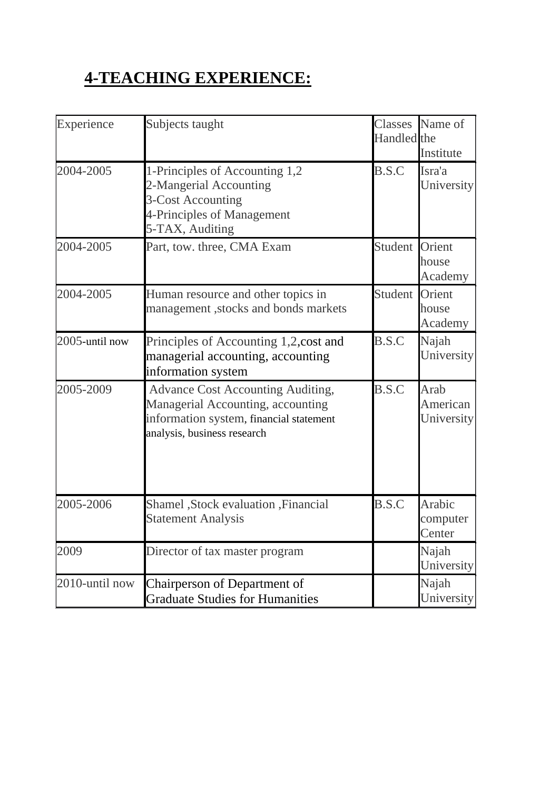# **4-TEACHING EXPERIENCE:**

| Experience     | Subjects taught                                                                                                                                         | Handled the    | Classes Name of<br>Institute   |
|----------------|---------------------------------------------------------------------------------------------------------------------------------------------------------|----------------|--------------------------------|
| 2004-2005      | 1-Principles of Accounting 1,2<br>2-Mangerial Accounting<br>3-Cost Accounting<br>4-Principles of Management<br>5-TAX, Auditing                          | B.S.C          | Isra'a<br>University           |
| 2004-2005      | Part, tow. three, CMA Exam                                                                                                                              | Student        | Orient<br>house<br>Academy     |
| 2004-2005      | Human resource and other topics in<br>management, stocks and bonds markets                                                                              | <b>Student</b> | Orient<br>house<br>Academy     |
| 2005-until now | Principles of Accounting 1,2, cost and<br>managerial accounting, accounting<br>information system                                                       | B.S.C          | Najah<br>University            |
| 2005-2009      | <b>Advance Cost Accounting Auditing,</b><br>Managerial Accounting, accounting<br>information system, financial statement<br>analysis, business research | B.S.C          | Arab<br>American<br>University |
| 2005-2006      | Shamel , Stock evaluation , Financial<br><b>Statement Analysis</b>                                                                                      | B.S.C          | Arabic<br>computer<br>Center   |
| 2009           | Director of tax master program                                                                                                                          |                | Najah<br>University            |
| 2010-until now | Chairperson of Department of<br><b>Graduate Studies for Humanities</b>                                                                                  |                | Najah<br>University            |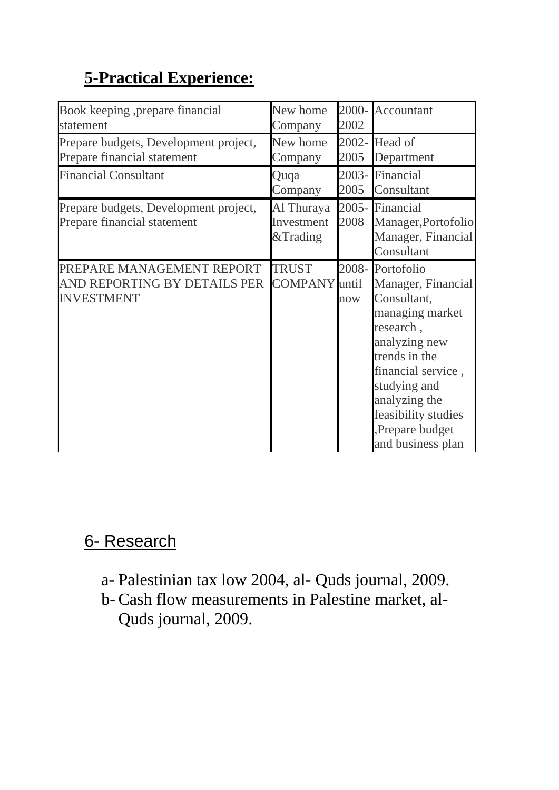# **5-Practical Experience:**

| Book keeping , prepare financial<br>statement                                  | New home<br>Company                  | 2002 | 2000- Accountant                                                                                                                                                                                                                            |
|--------------------------------------------------------------------------------|--------------------------------------|------|---------------------------------------------------------------------------------------------------------------------------------------------------------------------------------------------------------------------------------------------|
| Prepare budgets, Development project,<br>Prepare financial statement           | New home<br>Company                  | 2005 | 2002- Head of<br>Department                                                                                                                                                                                                                 |
| <b>Financial Consultant</b>                                                    | Quqa<br>Company                      | 2005 | 2003- Financial<br>Consultant                                                                                                                                                                                                               |
| Prepare budgets, Development project,<br>Prepare financial statement           | Al Thuraya<br>Investment<br>&Trading | 2008 | 2005- Financial<br>Manager, Portofolio<br>Manager, Financial<br>Consultant                                                                                                                                                                  |
| PREPARE MANAGEMENT REPORT<br>AND REPORTING BY DETAILS PER<br><b>INVESTMENT</b> | <b>TRUST</b><br><b>COMPANY</b> until | now  | 2008-Portofolio<br>Manager, Financial<br>Consultant,<br>managing market<br>research,<br>analyzing new<br>trends in the<br>financial service,<br>studying and<br>analyzing the<br>feasibility studies<br>Prepare budget<br>and business plan |

### 6- Research

- a- Palestinian tax low 2004, al- Quds journal, 2009.
- b- Cash flow measurements in Palestine market, al-Quds journal, 2009.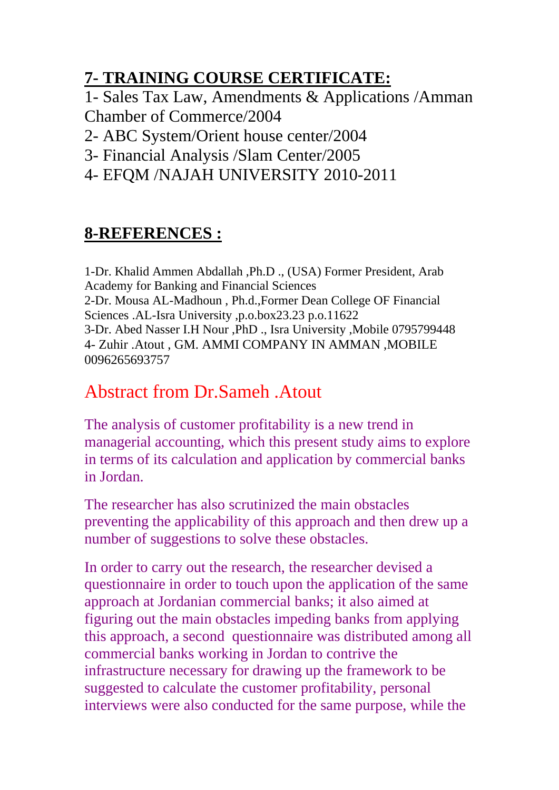## **7- TRAINING COURSE CERTIFICATE:**

1- Sales Tax Law, Amendments & Applications /Amman Chamber of Commerce/2004

- 2- ABC System/Orient house center/2004
- 3- Financial Analysis /Slam Center/2005
- 4- EFQM /NAJAH UNIVERSITY 2010-2011

#### **8-REFERENCES :**

1-Dr. Khalid Ammen Abdallah ,Ph.D ., (USA) Former President, Arab Academy for Banking and Financial Sciences 2-Dr. Mousa AL-Madhoun , Ph.d.,Former Dean College OF Financial Sciences .AL-Isra University ,p.o.box23.23 p.o.11622 3-Dr. Abed Nasser I.H Nour ,PhD ., Isra University ,Mobile 0795799448 4- Zuhir .Atout , GM. AMMI COMPANY IN AMMAN ,MOBILE 0096265693757

## Abstract from Dr.Sameh .Atout

The analysis of customer profitability is a new trend in managerial accounting, which this present study aims to explore in terms of its calculation and application by commercial banks in Jordan.

The researcher has also scrutinized the main obstacles preventing the applicability of this approach and then drew up a number of suggestions to solve these obstacles.

In order to carry out the research, the researcher devised a questionnaire in order to touch upon the application of the same approach at Jordanian commercial banks; it also aimed at figuring out the main obstacles impeding banks from applying this approach, a second questionnaire was distributed among all commercial banks working in Jordan to contrive the infrastructure necessary for drawing up the framework to be suggested to calculate the customer profitability, personal interviews were also conducted for the same purpose, while the